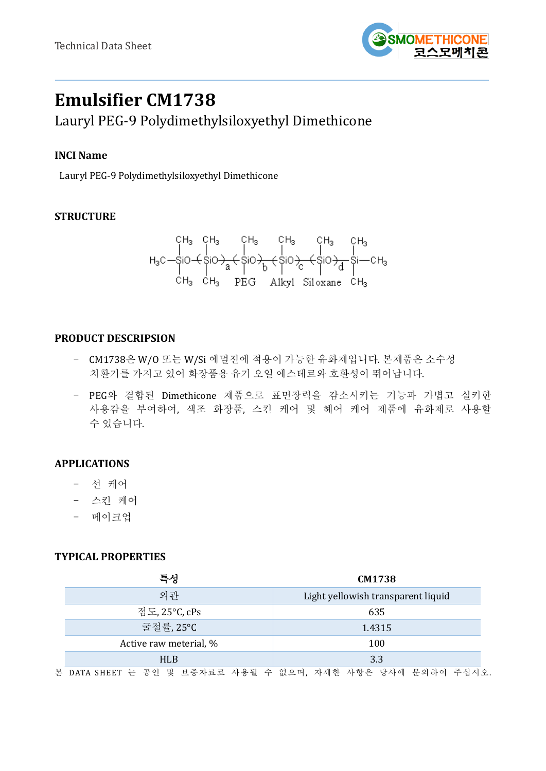

# **Emulsifier CM1738**

Lauryl PEG-9 Polydimethylsiloxyethyl Dimethicone

## **INCI Name**

Lauryl PEG-9 Polydimethylsiloxyethyl Dimethicone

## **STRUCTURE**

$$
H_3C-SiO+SiO\frac{CH_3}{a}CH_3CH_3CH_3CH_3CH_3
$$
  
\n
$$
H_3C-SiO+SiO\frac{1}{a}C+SiO\frac{1}{b}C+SiO\frac{1}{c}C+SiO\frac{1}{d}C+Si-CH_3
$$
  
\n
$$
CH_3CH_3\qquad \qquad PEG\qquad \text{Alky1 } Si1oxane \quad CH_3
$$

## **PRODUCT DESCRIPSION**

- CM1738은 W/O 또는 W/Si 에멀젼에 적용이 가능한 유화제입니다. 본제품은 소수성 치환기를 가지고 있어 화장품용 유기 오일 에스테르와 호환성이 뛰어납니다.
- PEG와 결합된 Dimethicone 제품으로 표면장력을 감소시키는 기능과 가볍고 실키한 사용감을 부여하여, 색조 화장품, 스킨 케어 및 헤어 케어 제품에 유화제로 사용할 수 있습니다.

## **APPLICATIONS**

- 선 케어
- 스킨 케어
- 메이크업

### **TYPICAL PROPERTIES**

| 특성                     | CM1738                                                      |  |
|------------------------|-------------------------------------------------------------|--|
| 외관                     | Light yellowish transparent liquid                          |  |
| 점도, 25°C, cPs          | 635                                                         |  |
| 굴절률,25°C               | 1.4315                                                      |  |
| Active raw meterial, % | 100                                                         |  |
| <b>HLB</b>             | 3.3                                                         |  |
|                        | 본 DATA SHEET 는 공인 및 보증자료로 사용될 수 없으며, 자세한 사항은 당사에 문의하여 주십시오. |  |